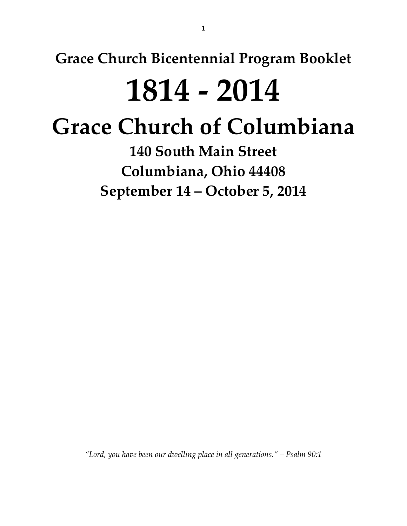**Grace Church Bicentennial Program Booklet**

# **1814 - 2014**

# **Grace Church of Columbiana**

**140 South Main Street Columbiana, Ohio 44408 September 14 – October 5, 2014**

*"Lord, you have been our dwelling place in all generations." – Psalm 90:1*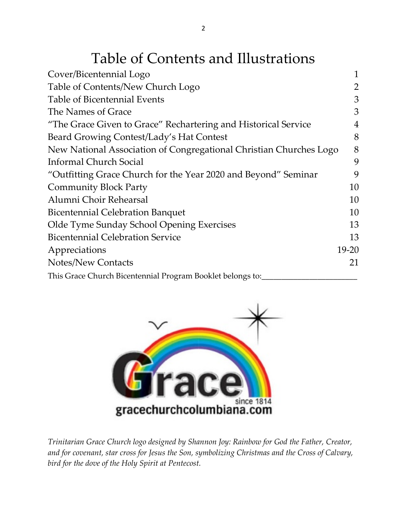### Table of Contents and Illustrations

| Cover/Bicentennial Logo                                            | 1       |
|--------------------------------------------------------------------|---------|
| Table of Contents/New Church Logo                                  | 2       |
| <b>Table of Bicentennial Events</b>                                | 3       |
| The Names of Grace                                                 | 3       |
| "The Grace Given to Grace" Rechartering and Historical Service     | 4       |
| Beard Growing Contest/Lady's Hat Contest                           | 8       |
| New National Association of Congregational Christian Churches Logo | 8       |
| Informal Church Social                                             | 9       |
| "Outfitting Grace Church for the Year 2020 and Beyond" Seminar     | 9       |
| <b>Community Block Party</b>                                       | 10      |
| Alumni Choir Rehearsal                                             | 10      |
| <b>Bicentennial Celebration Banquet</b>                            | 10      |
| Olde Tyme Sunday School Opening Exercises                          | 13      |
| <b>Bicentennial Celebration Service</b>                            | 13      |
| Appreciations                                                      | $19-20$ |
| <b>Notes/New Contacts</b>                                          | 21      |
| This Grace Church Bicentennial Program Booklet belongs to:         |         |



*Trinitarian Grace Church logo designed by Shannon Joy: Rainbow for God the Father, Creator, and for covenant, star cross for Jesus the Son, symbolizing Christmas and the Cross of Calvary, bird for the dove of the Holy Spirit at Pentecost.*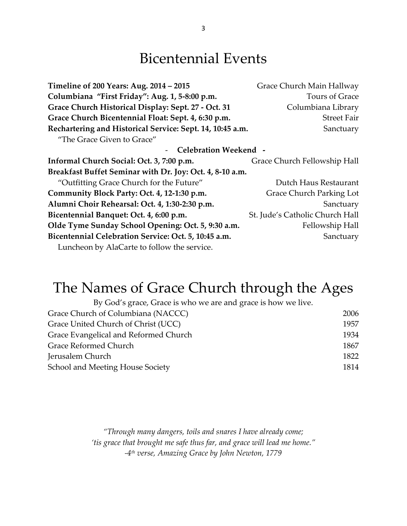### Bicentennial Events

| Timeline of 200 Years: Aug. 2014 - 2015                   | Grace Church Main Hallway       |
|-----------------------------------------------------------|---------------------------------|
| Columbiana "First Friday": Aug. 1, 5-8:00 p.m.            | Tours of Grace                  |
| Grace Church Historical Display: Sept. 27 - Oct. 31       | Columbiana Library              |
| Grace Church Bicentennial Float: Sept. 4, 6:30 p.m.       | <b>Street Fair</b>              |
| Rechartering and Historical Service: Sept. 14, 10:45 a.m. | Sanctuary                       |
| "The Grace Given to Grace"                                |                                 |
| Celebration Weekend -                                     |                                 |
| Informal Church Social: Oct. 3, 7:00 p.m.                 | Grace Church Fellowship Hall    |
| Breakfast Buffet Seminar with Dr. Joy: Oct. 4, 8-10 a.m.  |                                 |
| "Outfitting Grace Church for the Future"                  | Dutch Haus Restaurant           |
| Community Block Party: Oct. 4, 12-1:30 p.m.               | Grace Church Parking Lot        |
| Alumni Choir Rehearsal: Oct. 4, 1:30-2:30 p.m.            | Sanctuary                       |
| Bicentennial Banquet: Oct. 4, 6:00 p.m.                   | St. Jude's Catholic Church Hall |
| Olde Tyme Sunday School Opening: Oct. 5, 9:30 a.m.        | Fellowship Hall                 |
| Bicentennial Celebration Service: Oct. 5, 10:45 a.m.      | Sanctuary                       |
| Luncheon by AlaCarte to follow the service.               |                                 |

### The Names of Grace Church through the Ages

| By God's grace, Grace is who we are and grace is how we live. |      |
|---------------------------------------------------------------|------|
| Grace Church of Columbiana (NACCC)                            | 2006 |
| Grace United Church of Christ (UCC)                           | 1957 |
| Grace Evangelical and Reformed Church                         | 1934 |
| Grace Reformed Church                                         | 1867 |
| Jerusalem Church                                              | 1822 |
| School and Meeting House Society                              | 1814 |
|                                                               |      |

*"Through many dangers, toils and snares I have already come; 'tis grace that brought me safe thus far, and grace will lead me home." -4th verse, Amazing Grace by John Newton, 1779*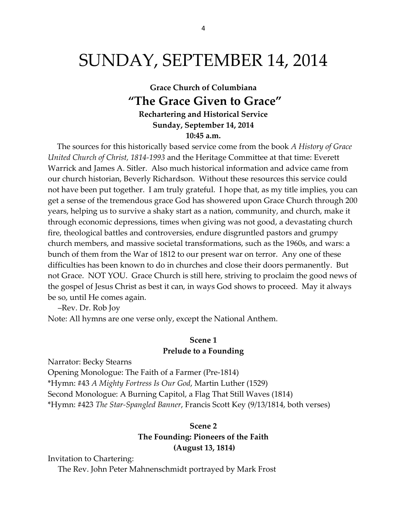# SUNDAY, SEPTEMBER 14, 2014

### **Grace Church of Columbiana "The Grace Given to Grace" Rechartering and Historical Service Sunday, September 14, 2014 10:45 a.m.**

The sources for this historically based service come from the book *A History of Grace United Church of Christ, 1814-1993* and the Heritage Committee at that time: Everett Warrick and James A. Sitler. Also much historical information and advice came from our church historian, Beverly Richardson. Without these resources this service could not have been put together. I am truly grateful. I hope that, as my title implies, you can get a sense of the tremendous grace God has showered upon Grace Church through 200 years, helping us to survive a shaky start as a nation, community, and church, make it through economic depressions, times when giving was not good, a devastating church fire, theological battles and controversies, endure disgruntled pastors and grumpy church members, and massive societal transformations, such as the 1960s, and wars: a bunch of them from the War of 1812 to our present war on terror. Any one of these difficulties has been known to do in churches and close their doors permanently. But not Grace. NOT YOU. Grace Church is still here, striving to proclaim the good news of the gospel of Jesus Christ as best it can, in ways God shows to proceed. May it always be so, until He comes again.

–Rev. Dr. Rob Joy

Note: All hymns are one verse only, except the National Anthem.

### **Scene 1 Prelude to a Founding**

Narrator: Becky Stearns Opening Monologue: The Faith of a Farmer (Pre-1814) \*Hymn: #43 *A Mighty Fortress Is Our God*, Martin Luther (1529) Second Monologue: A Burning Capitol, a Flag That Still Waves (1814) \*Hymn: #423 *The Star-Spangled Banner*, Francis Scott Key (9/13/1814, both verses)

### **Scene 2 The Founding: Pioneers of the Faith (August 13, 1814)**

Invitation to Chartering:

The Rev. John Peter Mahnenschmidt portrayed by Mark Frost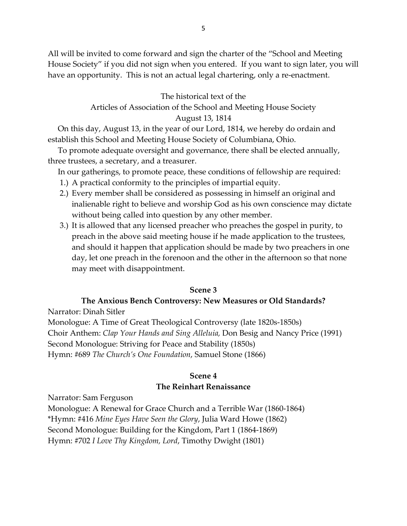All will be invited to come forward and sign the charter of the "School and Meeting House Society" if you did not sign when you entered. If you want to sign later, you will have an opportunity. This is not an actual legal chartering, only a re-enactment.

### The historical text of the

### Articles of Association of the School and Meeting House Society August 13, 1814

 On this day, August 13, in the year of our Lord, 1814, we hereby do ordain and establish this School and Meeting House Society of Columbiana, Ohio.

 To promote adequate oversight and governance, there shall be elected annually, three trustees, a secretary, and a treasurer.

In our gatherings, to promote peace, these conditions of fellowship are required:

- 1.) A practical conformity to the principles of impartial equity.
- 2.) Every member shall be considered as possessing in himself an original and inalienable right to believe and worship God as his own conscience may dictate without being called into question by any other member.
- 3.) It is allowed that any licensed preacher who preaches the gospel in purity, to preach in the above said meeting house if he made application to the trustees, and should it happen that application should be made by two preachers in one day, let one preach in the forenoon and the other in the afternoon so that none may meet with disappointment.

### **Scene 3**

### **The Anxious Bench Controversy: New Measures or Old Standards?**

Narrator: Dinah Sitler

Monologue: A Time of Great Theological Controversy (late 1820s-1850s) Choir Anthem: *Clap Your Hands and Sing Alleluia,* Don Besig and Nancy Price (1991) Second Monologue: Striving for Peace and Stability (1850s) Hymn: #689 *The Church's One Foundation*, Samuel Stone (1866)

### **Scene 4**

### **The Reinhart Renaissance**

Narrator: Sam Ferguson

Monologue: A Renewal for Grace Church and a Terrible War (1860-1864) \*Hymn: #416 *Mine Eyes Have Seen the Glory*, Julia Ward Howe (1862) Second Monologue: Building for the Kingdom, Part 1 (1864-1869) Hymn: #702 *I Love Thy Kingdom, Lord*, Timothy Dwight (1801)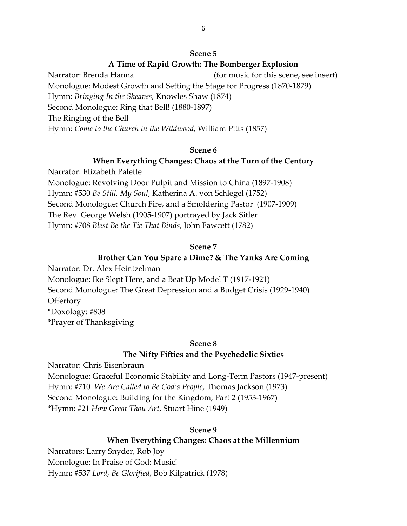### **Scene 5**

### **A Time of Rapid Growth: The Bomberger Explosion**

Narrator: Brenda Hanna (for music for this scene, see insert) Monologue: Modest Growth and Setting the Stage for Progress (1870-1879) Hymn: *Bringing In the Sheaves*, Knowles Shaw (1874) Second Monologue: Ring that Bell! (1880-1897) The Ringing of the Bell Hymn: *Come to the Church in the Wildwood*, William Pitts (1857)

### **Scene 6**

### **When Everything Changes: Chaos at the Turn of the Century**

Narrator: Elizabeth Palette

Monologue: Revolving Door Pulpit and Mission to China (1897-1908) Hymn: #530 *Be Still, My Soul*, Katherina A. von Schlegel (1752) Second Monologue: Church Fire, and a Smoldering Pastor (1907-1909) The Rev. George Welsh (1905-1907) portrayed by Jack Sitler Hymn: #708 *Blest Be the Tie That Binds*, John Fawcett (1782)

### **Scene 7**

### **Brother Can You Spare a Dime? & The Yanks Are Coming**

Narrator: Dr. Alex Heintzelman Monologue: Ike Slept Here, and a Beat Up Model T (1917-1921) Second Monologue: The Great Depression and a Budget Crisis (1929-1940) **Offertory** \*Doxology: #808 \*Prayer of Thanksgiving

### **Scene 8**

### **The Nifty Fifties and the Psychedelic Sixties**

Narrator: Chris Eisenbraun

Monologue: Graceful Economic Stability and Long-Term Pastors (1947-present) Hymn: #710 *We Are Called to Be God's People*, Thomas Jackson (1973) Second Monologue: Building for the Kingdom, Part 2 (1953-1967) \*Hymn: #21 *How Great Thou Art*, Stuart Hine (1949)

### **Scene 9**

### **When Everything Changes: Chaos at the Millennium**

Narrators: Larry Snyder, Rob Joy Monologue: In Praise of God: Music! Hymn: #537 *Lord, Be Glorified*, Bob Kilpatrick (1978)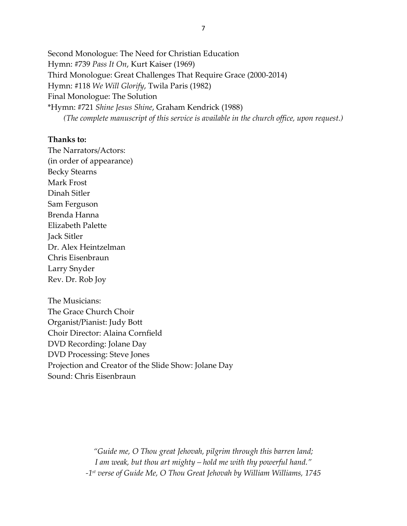Second Monologue: The Need for Christian Education Hymn: #739 *Pass It On*, Kurt Kaiser (1969) Third Monologue: Great Challenges That Require Grace (2000-2014) Hymn: #118 *We Will Glorify*, Twila Paris (1982) Final Monologue: The Solution \*Hymn: #721 *Shine Jesus Shine*, Graham Kendrick (1988) *(The complete manuscript of this service is available in the church office, upon request.)*

#### **Thanks to:**

The Narrators/Actors: (in order of appearance) Becky Stearns Mark Frost Dinah Sitler Sam Ferguson Brenda Hanna Elizabeth Palette Jack Sitler Dr. Alex Heintzelman Chris Eisenbraun Larry Snyder Rev. Dr. Rob Joy

The Musicians: The Grace Church Choir Organist/Pianist: Judy Bott Choir Director: Alaina Cornfield DVD Recording: Jolane Day DVD Processing: Steve Jones Projection and Creator of the Slide Show: Jolane Day Sound: Chris Eisenbraun

> *"Guide me, O Thou great Jehovah, pilgrim through this barren land; I am weak, but thou art mighty – hold me with thy powerful hand." -1st verse of Guide Me, O Thou Great Jehovah by William Williams, 1745*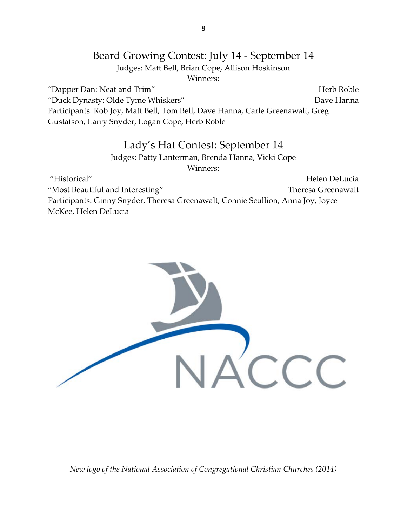### Beard Growing Contest: July 14 - September 14

Judges: Matt Bell, Brian Cope, Allison Hoskinson

Winners:

"Dapper Dan: Neat and Trim" expansion of the Herb Roble Herb Roble

"Duck Dynasty: Olde Tyme Whiskers" The Contract of the Dave Hanna

Participants: Rob Joy, Matt Bell, Tom Bell, Dave Hanna, Carle Greenawalt, Greg Gustafson, Larry Snyder, Logan Cope, Herb Roble

### Lady's Hat Contest: September 14

Judges: Patty Lanterman, Brenda Hanna, Vicki Cope Winners:

"Historical" Helen DeLucia

"Most Beautiful and Interesting" Theresa Greenawalt Participants: Ginny Snyder, Theresa Greenawalt, Connie Scullion, Anna Joy, Joyce McKee, Helen DeLucia

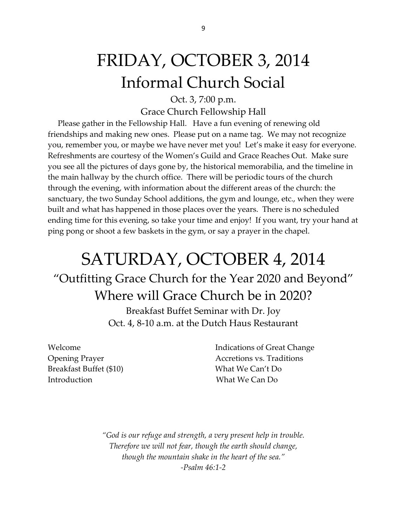# FRIDAY, OCTOBER 3, 2014 Informal Church Social

Oct. 3, 7:00 p.m. Grace Church Fellowship Hall

 Please gather in the Fellowship Hall. Have a fun evening of renewing old friendships and making new ones. Please put on a name tag. We may not recognize you, remember you, or maybe we have never met you! Let's make it easy for everyone. Refreshments are courtesy of the Women's Guild and Grace Reaches Out. Make sure you see all the pictures of days gone by, the historical memorabilia, and the timeline in the main hallway by the church office. There will be periodic tours of the church through the evening, with information about the different areas of the church: the sanctuary, the two Sunday School additions, the gym and lounge, etc., when they were built and what has happened in those places over the years. There is no scheduled ending time for this evening, so take your time and enjoy! If you want, try your hand at ping pong or shoot a few baskets in the gym, or say a prayer in the chapel.

# SATURDAY, OCTOBER 4, 2014

"Outfitting Grace Church for the Year 2020 and Beyond"

### Where will Grace Church be in 2020?

Breakfast Buffet Seminar with Dr. Joy Oct. 4, 8-10 a.m. at the Dutch Haus Restaurant

Welcome Opening Prayer Breakfast Buffet (\$10) What We Can't Do Introduction What We Can Do

Indications of Great Change Accretions vs. Traditions

*"God is our refuge and strength, a very present help in trouble. Therefore we will not fear, though the earth should change, though the mountain shake in the heart of the sea." -Psalm 46:1-2*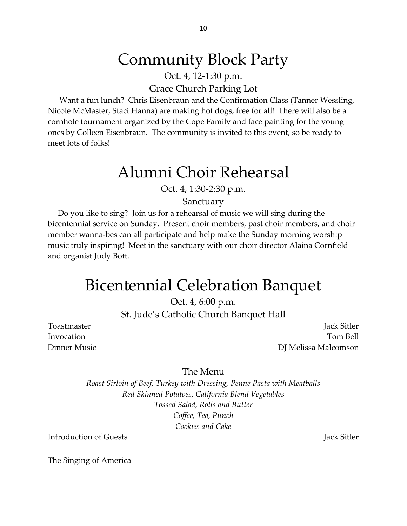# Community Block Party

### Oct. 4, 12-1:30 p.m.

Grace Church Parking Lot

 Want a fun lunch? Chris Eisenbraun and the Confirmation Class (Tanner Wessling, Nicole McMaster, Staci Hanna) are making hot dogs, free for all! There will also be a cornhole tournament organized by the Cope Family and face painting for the young ones by Colleen Eisenbraun. The community is invited to this event, so be ready to meet lots of folks!

# Alumni Choir Rehearsal

Oct. 4, 1:30-2:30 p.m.

### Sanctuary

 Do you like to sing? Join us for a rehearsal of music we will sing during the bicentennial service on Sunday. Present choir members, past choir members, and choir member wanna-bes can all participate and help make the Sunday morning worship music truly inspiring! Meet in the sanctuary with our choir director Alaina Cornfield and organist Judy Bott.

### Bicentennial Celebration Banquet

Oct. 4, 6:00 p.m. St. Jude's Catholic Church Banquet Hall

Toastmaster Jack Sitler Jack Sitler Jack Sitler Jack Sitler Jack Sitler Jack Sitler Invocation Tom Bell Dinner Music DJ Melissa Malcomson

The Menu

*Roast Sirloin of Beef, Turkey with Dressing, Penne Pasta with Meatballs Red Skinned Potatoes, California Blend Vegetables Tossed Salad, Rolls and Butter Coffee, Tea, Punch Cookies and Cake*

**Introduction of Guests Containers Jack Sitler Jack Sitler** 

The Singing of America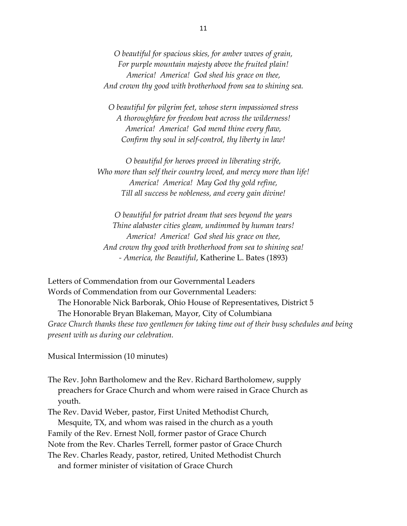*O beautiful for spacious skies, for amber waves of grain, For purple mountain majesty above the fruited plain! America! America! God shed his grace on thee, And crown thy good with brotherhood from sea to shining sea.*

*O beautiful for pilgrim feet, whose stern impassioned stress A thoroughfare for freedom beat across the wilderness! America! America! God mend thine every flaw, Confirm thy soul in self-control, thy liberty in law!*

*O beautiful for heroes proved in liberating strife, Who more than self their country loved, and mercy more than life! America! America! May God thy gold refine, Till all success be nobleness, and every gain divine!*

*O beautiful for patriot dream that sees beyond the years Thine alabaster cities gleam, undimmed by human tears! America! America! God shed his grace on thee, And crown thy good with brotherhood from sea to shining sea! - America, the Beautiful*, Katherine L. Bates (1893)

Letters of Commendation from our Governmental Leaders Words of Commendation from our Governmental Leaders: The Honorable Nick Barborak, Ohio House of Representatives, District 5 The Honorable Bryan Blakeman, Mayor, City of Columbiana *Grace Church thanks these two gentlemen for taking time out of their busy schedules and being present with us during our celebration.*

Musical Intermission (10 minutes)

The Rev. John Bartholomew and the Rev. Richard Bartholomew, supply preachers for Grace Church and whom were raised in Grace Church as youth.

The Rev. David Weber, pastor, First United Methodist Church, Mesquite, TX, and whom was raised in the church as a youth

Family of the Rev. Ernest Noll, former pastor of Grace Church

Note from the Rev. Charles Terrell, former pastor of Grace Church

The Rev. Charles Ready, pastor, retired, United Methodist Church

and former minister of visitation of Grace Church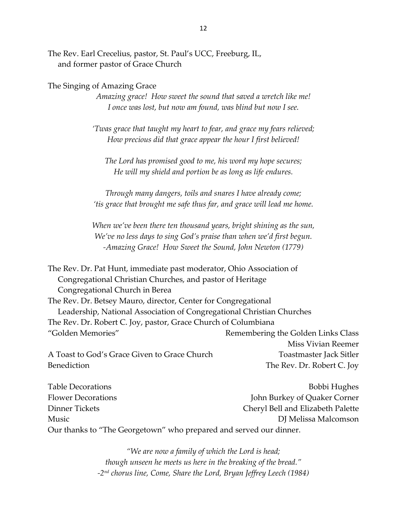The Rev. Earl Crecelius, pastor, St. Paul's UCC, Freeburg, IL, and former pastor of Grace Church

The Singing of Amazing Grace

*Amazing grace! How sweet the sound that saved a wretch like me! I once was lost, but now am found, was blind but now I see.*

*'Twas grace that taught my heart to fear, and grace my fears relieved; How precious did that grace appear the hour I first believed!*

*The Lord has promised good to me, his word my hope secures; He will my shield and portion be as long as life endures.*

*Through many dangers, toils and snares I have already come; 'tis grace that brought me safe thus far, and grace will lead me home.*

*When we've been there ten thousand years, bright shining as the sun, We've no less days to sing God's praise than when we'd first begun. -Amazing Grace! How Sweet the Sound, John Newton (1779)*

The Rev. Dr. Pat Hunt, immediate past moderator, Ohio Association of Congregational Christian Churches, and pastor of Heritage Congregational Church in Berea The Rev. Dr. Betsey Mauro, director, Center for Congregational Leadership, National Association of Congregational Christian Churches The Rev. Dr. Robert C. Joy, pastor, Grace Church of Columbiana "Golden Memories" Remembering the Golden Links Class Miss Vivian Reemer A Toast to God's Grace Given to Grace Church Toastmaster Jack Sitler Benediction The Rev. Dr. Robert C. Joy

Table Decorations **Bobbi Hughes** Flower Decorations The United States and John Burkey of Quaker Corner Dinner Tickets Cheryl Bell and Elizabeth Palette Music DJ Melissa Malcomson Our thanks to "The Georgetown" who prepared and served our dinner.

> *"We are now a family of which the Lord is head; though unseen he meets us here in the breaking of the bread." -2nd chorus line, Come, Share the Lord, Bryan Jeffrey Leech (1984)*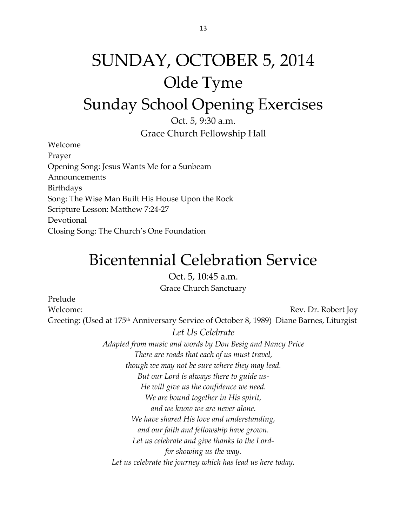# SUNDAY, OCTOBER 5, 2014 Olde Tyme

### Sunday School Opening Exercises

Oct. 5, 9:30 a.m. Grace Church Fellowship Hall

Welcome Prayer Opening Song: Jesus Wants Me for a Sunbeam Announcements Birthdays Song: The Wise Man Built His House Upon the Rock Scripture Lesson: Matthew 7:24-27 Devotional Closing Song: The Church's One Foundation

# Bicentennial Celebration Service

Oct. 5, 10:45 a.m. Grace Church Sanctuary

Prelude Welcome: Rev. Dr. Robert Joy Greeting: (Used at 175th Anniversary Service of October 8, 1989) Diane Barnes, Liturgist *Let Us Celebrate Adapted from music and words by Don Besig and Nancy Price There are roads that each of us must travel, though we may not be sure where they may lead. But our Lord is always there to guide us-He will give us the confidence we need. We are bound together in His spirit, and we know we are never alone. We have shared His love and understanding, and our faith and fellowship have grown. Let us celebrate and give thanks to the Lordfor showing us the way. Let us celebrate the journey which has lead us here today.*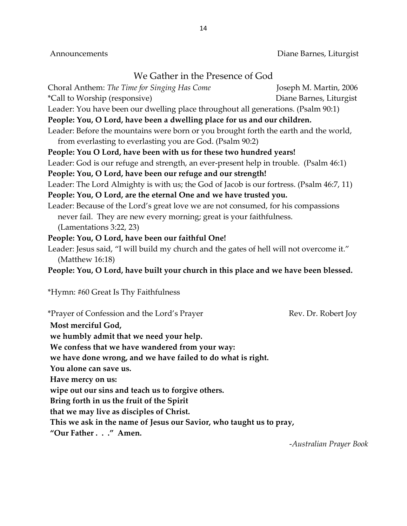### We Gather in the Presence of God

- Choral Anthem: *The Time for Singing Has Come* Joseph M. Martin, 2006
- \*Call to Worship (responsive) Diane Barnes, Liturgist
- Leader: You have been our dwelling place throughout all generations. (Psalm 90:1)

### **People: You, O Lord, have been a dwelling place for us and our children.**

Leader: Before the mountains were born or you brought forth the earth and the world, from everlasting to everlasting you are God. (Psalm 90:2)

**People: You O Lord, have been with us for these two hundred years!**

Leader: God is our refuge and strength, an ever-present help in trouble. (Psalm 46:1)

**People: You, O Lord, have been our refuge and our strength!**

Leader: The Lord Almighty is with us; the God of Jacob is our fortress. (Psalm 46:7, 11)

### **People: You, O Lord, are the eternal One and we have trusted you.**

Leader: Because of the Lord's great love we are not consumed, for his compassions never fail. They are new every morning; great is your faithfulness.

(Lamentations 3:22, 23)

### **People: You, O Lord, have been our faithful One!**

Leader: Jesus said, "I will build my church and the gates of hell will not overcome it." (Matthew 16:18)

**People: You, O Lord, have built your church in this place and we have been blessed.**

\*Hymn: #60 Great Is Thy Faithfulness

\*Prayer of Confession and the Lord's Prayer Rev. Dr. Robert Joy

**Most merciful God,**

**we humbly admit that we need your help.**

**We confess that we have wandered from your way:**

**we have done wrong, and we have failed to do what is right.**

**You alone can save us.**

**Have mercy on us:**

**wipe out our sins and teach us to forgive others.**

**Bring forth in us the fruit of the Spirit**

**that we may live as disciples of Christ.**

**This we ask in the name of Jesus our Savior, who taught us to pray,**

**"Our Father . . ." Amen.** 

-*Australian Prayer Book*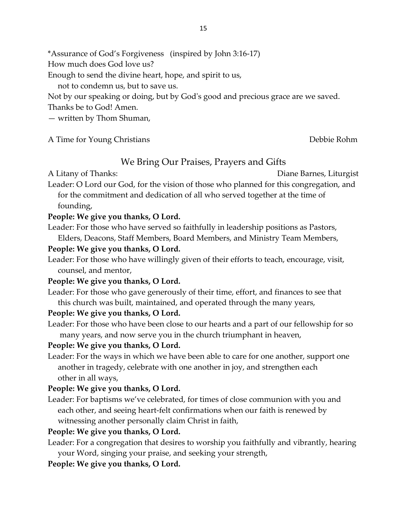\*Assurance of God's Forgiveness (inspired by John 3:16-17)

How much does God love us?

Enough to send the divine heart, hope, and spirit to us,

not to condemn us, but to save us.

Not by our speaking or doing, but by God's good and precious grace are we saved.

Thanks be to God! Amen.

— written by Thom Shuman,

A Time for Young Christians Debbie Rohm

### We Bring Our Praises, Prayers and Gifts

A Litany of Thanks: Diane Barnes, Liturgist

Leader: O Lord our God, for the vision of those who planned for this congregation, and for the commitment and dedication of all who served together at the time of founding,

### **People: We give you thanks, O Lord.**

Leader: For those who have served so faithfully in leadership positions as Pastors, Elders, Deacons, Staff Members, Board Members, and Ministry Team Members,

### **People: We give you thanks, O Lord.**

Leader: For those who have willingly given of their efforts to teach, encourage, visit, counsel, and mentor,

### **People: We give you thanks, O Lord.**

Leader: For those who gave generously of their time, effort, and finances to see that this church was built, maintained, and operated through the many years,

### **People: We give you thanks, O Lord.**

Leader: For those who have been close to our hearts and a part of our fellowship for so many years, and now serve you in the church triumphant in heaven,

### **People: We give you thanks, O Lord.**

Leader: For the ways in which we have been able to care for one another, support one another in tragedy, celebrate with one another in joy, and strengthen each other in all ways,

### **People: We give you thanks, O Lord.**

Leader: For baptisms we've celebrated, for times of close communion with you and each other, and seeing heart-felt confirmations when our faith is renewed by witnessing another personally claim Christ in faith,

### **People: We give you thanks, O Lord.**

Leader: For a congregation that desires to worship you faithfully and vibrantly, hearing your Word, singing your praise, and seeking your strength,

**People: We give you thanks, O Lord.**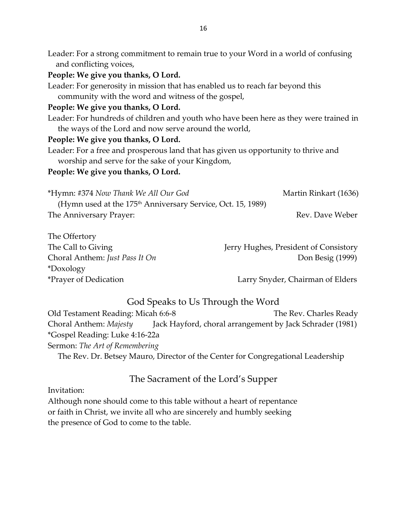Leader: For a strong commitment to remain true to your Word in a world of confusing and conflicting voices,

#### **People: We give you thanks, O Lord.**

Leader: For generosity in mission that has enabled us to reach far beyond this community with the word and witness of the gospel,

#### **People: We give you thanks, O Lord.**

Leader: For hundreds of children and youth who have been here as they were trained in the ways of the Lord and now serve around the world,

#### **People: We give you thanks, O Lord.**

Leader: For a free and prosperous land that has given us opportunity to thrive and worship and serve for the sake of your Kingdom,

#### **People: We give you thanks, O Lord.**

| *Hymn: #374 Now Thank We All Our God                                    | Martin Rinkart (1636) |
|-------------------------------------------------------------------------|-----------------------|
| (Hymn used at the 175 <sup>th</sup> Anniversary Service, Oct. 15, 1989) |                       |
| The Anniversary Prayer:                                                 | Rev. Dave Weber       |

| The Offertory                         |                                       |
|---------------------------------------|---------------------------------------|
| The Call to Giving                    | Jerry Hughes, President of Consistory |
| Choral Anthem: <i>Just Pass It On</i> | Don Besig (1999)                      |
| <i>*Doxology</i>                      |                                       |
| <i>*Prayer of Dedication</i>          | Larry Snyder, Chairman of Elders      |

### God Speaks to Us Through the Word

Old Testament Reading: Micah 6:6-8 The Rev. Charles Ready Choral Anthem: *Majesty* Jack Hayford, choral arrangement by Jack Schrader (1981) \*Gospel Reading: Luke 4:16-22a Sermon: *The Art of Remembering*

The Rev. Dr. Betsey Mauro, Director of the Center for Congregational Leadership

### The Sacrament of the Lord's Supper

Invitation:

Although none should come to this table without a heart of repentance or faith in Christ, we invite all who are sincerely and humbly seeking the presence of God to come to the table.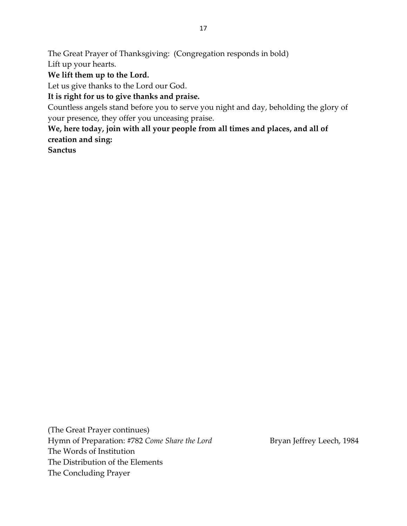The Great Prayer of Thanksgiving: (Congregation responds in bold) Lift up your hearts.

**We lift them up to the Lord.**

Let us give thanks to the Lord our God.

**It is right for us to give thanks and praise.**

Countless angels stand before you to serve you night and day, beholding the glory of your presence, they offer you unceasing praise.

**We, here today, join with all your people from all times and places, and all of creation and sing:** 

**Sanctus**

(The Great Prayer continues) Hymn of Preparation: #782 *Come Share the Lord* Bryan Jeffrey Leech, 1984 The Words of Institution The Distribution of the Elements The Concluding Prayer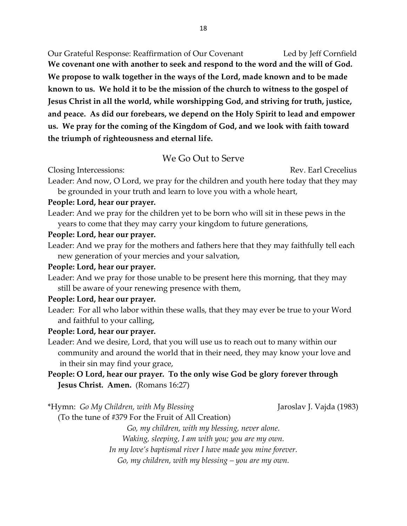Our Grateful Response: Reaffirmation of Our Covenant Led by Jeff Cornfield **We covenant one with another to seek and respond to the word and the will of God. We propose to walk together in the ways of the Lord, made known and to be made known to us. We hold it to be the mission of the church to witness to the gospel of Jesus Christ in all the world, while worshipping God, and striving for truth, justice, and peace. As did our forebears, we depend on the Holy Spirit to lead and empower us. We pray for the coming of the Kingdom of God, and we look with faith toward the triumph of righteousness and eternal life.**

### We Go Out to Serve

Closing Intercessions: Rev. Earl Crecelius

Leader: And now, O Lord, we pray for the children and youth here today that they may be grounded in your truth and learn to love you with a whole heart,

### **People: Lord, hear our prayer.**

Leader: And we pray for the children yet to be born who will sit in these pews in the years to come that they may carry your kingdom to future generations,

#### **People: Lord, hear our prayer.**

Leader: And we pray for the mothers and fathers here that they may faithfully tell each new generation of your mercies and your salvation,

#### **People: Lord, hear our prayer.**

Leader: And we pray for those unable to be present here this morning, that they may still be aware of your renewing presence with them,

#### **People: Lord, hear our prayer.**

Leader: For all who labor within these walls, that they may ever be true to your Word and faithful to your calling,

### **People: Lord, hear our prayer.**

Leader: And we desire, Lord, that you will use us to reach out to many within our community and around the world that in their need, they may know your love and in their sin may find your grace,

### **People: O Lord, hear our prayer. To the only wise God be glory forever through Jesus Christ. Amen.** (Romans 16:27)

\*Hymn: *Go My Children, with My Blessing* Jaroslav J. Vajda (1983)

(To the tune of #379 For the Fruit of All Creation)

*Go, my children, with my blessing, never alone. Waking, sleeping, I am with you; you are my own. In my love's baptismal river I have made you mine forever. Go, my children, with my blessing – you are my own.*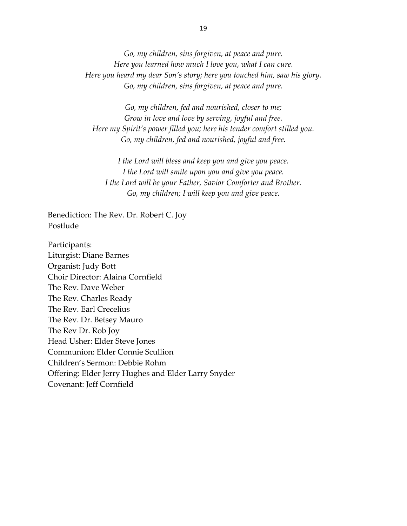*Go, my children, sins forgiven, at peace and pure. Here you learned how much I love you, what I can cure. Here you heard my dear Son's story; here you touched him, saw his glory. Go, my children, sins forgiven, at peace and pure.*

*Go, my children, fed and nourished, closer to me; Grow in love and love by serving, joyful and free. Here my Spirit's power filled you; here his tender comfort stilled you. Go, my children, fed and nourished, joyful and free.*

*I the Lord will bless and keep you and give you peace. I the Lord will smile upon you and give you peace. I the Lord will be your Father, Savior Comforter and Brother. Go, my children; I will keep you and give peace.*

Benediction: The Rev. Dr. Robert C. Joy Postlude

Participants: Liturgist: Diane Barnes Organist: Judy Bott Choir Director: Alaina Cornfield The Rev. Dave Weber The Rev. Charles Ready The Rev. Earl Crecelius The Rev. Dr. Betsey Mauro The Rev Dr. Rob Joy Head Usher: Elder Steve Jones Communion: Elder Connie Scullion Children's Sermon: Debbie Rohm Offering: Elder Jerry Hughes and Elder Larry Snyder Covenant: Jeff Cornfield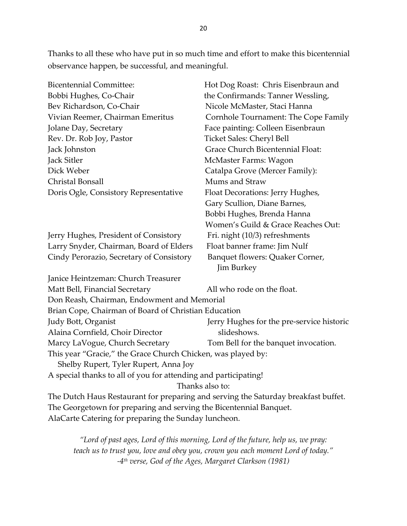Thanks to all these who have put in so much time and effort to make this bicentennial observance happen, be successful, and meaningful.

| <b>Bicentennial Committee:</b>                                                     | Hot Dog Roast: Chris Eisenbraun and       |
|------------------------------------------------------------------------------------|-------------------------------------------|
| Bobbi Hughes, Co-Chair                                                             | the Confirmands: Tanner Wessling,         |
| Bev Richardson, Co-Chair                                                           | Nicole McMaster, Staci Hanna              |
| Vivian Reemer, Chairman Emeritus                                                   | Cornhole Tournament: The Cope Family      |
| Jolane Day, Secretary                                                              | Face painting: Colleen Eisenbraun         |
| Rev. Dr. Rob Joy, Pastor                                                           | Ticket Sales: Cheryl Bell                 |
| Jack Johnston                                                                      | Grace Church Bicentennial Float:          |
| <b>Jack Sitler</b>                                                                 | McMaster Farms: Wagon                     |
| Dick Weber                                                                         | Catalpa Grove (Mercer Family):            |
| Christal Bonsall                                                                   | Mums and Straw                            |
| Doris Ogle, Consistory Representative                                              | Float Decorations: Jerry Hughes,          |
|                                                                                    | Gary Scullion, Diane Barnes,              |
|                                                                                    | Bobbi Hughes, Brenda Hanna                |
|                                                                                    | Women's Guild & Grace Reaches Out:        |
| Jerry Hughes, President of Consistory                                              | Fri. night (10/3) refreshments            |
| Larry Snyder, Chairman, Board of Elders                                            | Float banner frame: Jim Nulf              |
| Cindy Perorazio, Secretary of Consistory                                           | Banquet flowers: Quaker Corner,           |
|                                                                                    | Jim Burkey                                |
| Janice Heintzeman: Church Treasurer                                                |                                           |
| Matt Bell, Financial Secretary                                                     | All who rode on the float.                |
| Don Reash, Chairman, Endowment and Memorial                                        |                                           |
| Brian Cope, Chairman of Board of Christian Education                               |                                           |
| Judy Bott, Organist                                                                | Jerry Hughes for the pre-service historic |
| Alaina Cornfield, Choir Director                                                   | slideshows.                               |
| Marcy LaVogue, Church Secretary                                                    | Tom Bell for the banquet invocation.      |
| This year "Gracie," the Grace Church Chicken, was played by:                       |                                           |
| Shelby Rupert, Tyler Rupert, Anna Joy                                              |                                           |
| A special thanks to all of you for attending and participating!                    |                                           |
|                                                                                    | Thanks also to:                           |
| The Dutch Haus Restaurant for preparing and serving the Saturday breakfast buffet. |                                           |
| The Georgetown for preparing and serving the Bicentennial Banquet.                 |                                           |
| AlaCarte Catering for preparing the Sunday luncheon.                               |                                           |
|                                                                                    |                                           |

*"Lord of past ages, Lord of this morning, Lord of the future, help us, we pray: teach us to trust you, love and obey you, crown you each moment Lord of today." -4th verse, God of the Ages, Margaret Clarkson (1981)*